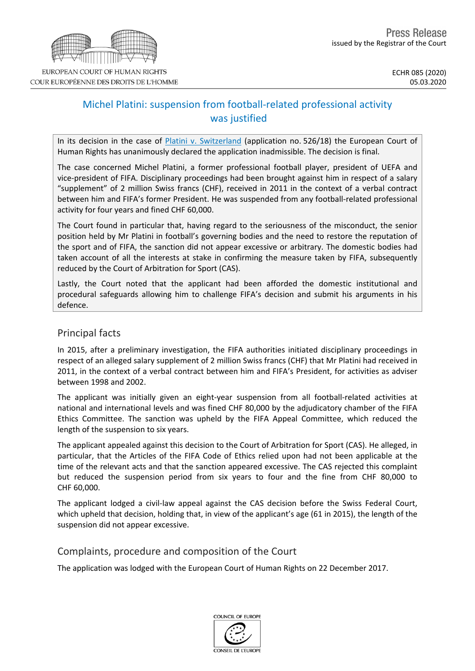

# Michel Platini: suspension from football-related professional activity was justified

In its decision in the case of Platini v. [Switzerland](http://hudoc.echr.coe.int/eng?i=001-201734) (application no. 526/18) the European Court of Human Rights has unanimously declared the application inadmissible. The decision is final.

The case concerned Michel Platini, a former professional football player, president of UEFA and vice-president of FIFA. Disciplinary proceedings had been brought against him in respect of a salary "supplement" of 2 million Swiss francs (CHF), received in 2011 in the context of a verbal contract between him and FIFA's former President. He was suspended from any football-related professional activity for four years and fined CHF 60,000.

The Court found in particular that, having regard to the seriousness of the misconduct, the senior position held by Mr Platini in football's governing bodies and the need to restore the reputation of the sport and of FIFA, the sanction did not appear excessive or arbitrary. The domestic bodies had taken account of all the interests at stake in confirming the measure taken by FIFA, subsequently reduced by the Court of Arbitration for Sport (CAS).

Lastly, the Court noted that the applicant had been afforded the domestic institutional and procedural safeguards allowing him to challenge FIFA's decision and submit his arguments in his defence.

## Principal facts

In 2015, after a preliminary investigation, the FIFA authorities initiated disciplinary proceedings in respect of an alleged salary supplement of 2 million Swiss francs (CHF) that Mr Platini had received in 2011, in the context of a verbal contract between him and FIFA's President, for activities as adviser between 1998 and 2002.

The applicant was initially given an eight-year suspension from all football-related activities at national and international levels and was fined CHF 80,000 by the adjudicatory chamber of the FIFA Ethics Committee. The sanction was upheld by the FIFA Appeal Committee, which reduced the length of the suspension to six years.

The applicant appealed against this decision to the Court of Arbitration for Sport (CAS). He alleged, in particular, that the Articles of the FIFA Code of Ethics relied upon had not been applicable at the time of the relevant acts and that the sanction appeared excessive. The CAS rejected this complaint but reduced the suspension period from six years to four and the fine from CHF 80,000 to CHF 60,000.

The applicant lodged a civil-law appeal against the CAS decision before the Swiss Federal Court, which upheld that decision, holding that, in view of the applicant's age (61 in 2015), the length of the suspension did not appear excessive.

## Complaints, procedure and composition of the Court

The application was lodged with the European Court of Human Rights on 22 December 2017.

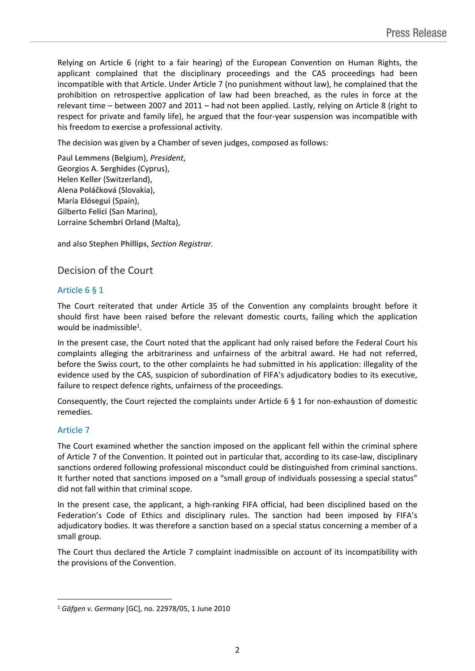Relying on Article 6 (right to a fair hearing) of the European Convention on Human Rights, the applicant complained that the disciplinary proceedings and the CAS proceedings had been incompatible with that Article. Under Article 7 (no punishment without law), he complained that the prohibition on retrospective application of law had been breached, as the rules in force at the relevant time – between 2007 and 2011 – had not been applied. Lastly, relying on Article 8 (right to respect for private and family life), he argued that the four-year suspension was incompatible with his freedom to exercise a professional activity.

The decision was given by a Chamber of seven judges, composed as follows:

Paul **Lemmens** (Belgium), *President*, Georgios A. **Serghides** (Cyprus), Helen **Keller** (Switzerland), Alena **Poláčková** (Slovakia), María **Elósegui** (Spain), Gilberto **Felici** (San Marino), Lorraine **Schembri Orland** (Malta),

and also Stephen **Phillips**, *Section Registrar.*

## Decision of the Court

### Article 6 § 1

The Court reiterated that under Article 35 of the Convention any complaints brought before it should first have been raised before the relevant domestic courts, failing which the application would be inadmissible<sup>1</sup>.

In the present case, the Court noted that the applicant had only raised before the Federal Court his complaints alleging the arbitrariness and unfairness of the arbitral award. He had not referred, before the Swiss court, to the other complaints he had submitted in his application: illegality of the evidence used by the CAS, suspicion of subordination of FIFA's adjudicatory bodies to its executive, failure to respect defence rights, unfairness of the proceedings.

Consequently, the Court rejected the complaints under Article 6 § 1 for non-exhaustion of domestic remedies.

### Article 7

The Court examined whether the sanction imposed on the applicant fell within the criminal sphere of Article 7 of the Convention. It pointed out in particular that, according to its case-law, disciplinary sanctions ordered following professional misconduct could be distinguished from criminal sanctions. It further noted that sanctions imposed on a "small group of individuals possessing a special status" did not fall within that criminal scope.

In the present case, the applicant, a high-ranking FIFA official, had been disciplined based on the Federation's Code of Ethics and disciplinary rules. The sanction had been imposed by FIFA's adjudicatory bodies. It was therefore a sanction based on a special status concerning a member of a small group.

The Court thus declared the Article 7 complaint inadmissible on account of its incompatibility with the provisions of the Convention.

<sup>1</sup> *Gäfgen v. Germany* [GC], no. 22978/05, 1 June 2010